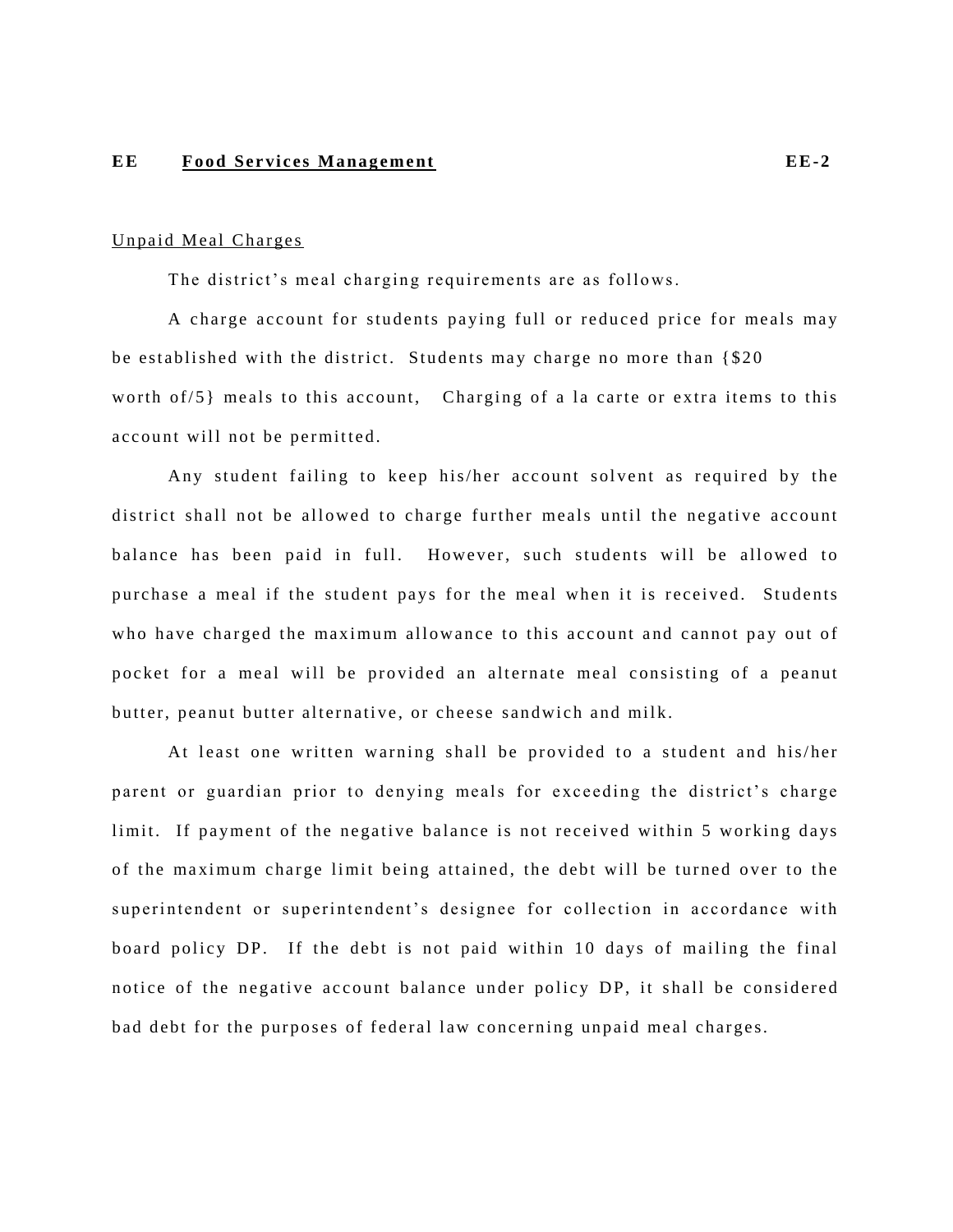## **EE** Food Services Management **EE**-2

## Unpaid Meal Charges

The district's meal charging requirements are as follows.

A charge account for students paying full or reduced price for meals may be established with the district. Students may charge no more than  $\{\$20$ worth of/ $5$ } meals to this account, Charging of a la carte or extra items to this account will not be permitted.

Any student failing to keep his/her account solvent as required by the district shall not be allowed to charge further meals until the negative account balance has been paid in full. However, such students will be allowed to pur chase a meal if the student pays for the meal when it is received. Students who have charged the maximum allowance to this account and cannot pay out of pocket for a meal will be provided an alternate meal consisting of a peanut butter, peanut butter alternative, or cheese sandwich and milk.

At least one written warning shall be provided to a student and his/her parent or guardian prior to denying meals for exceeding the district's charge limit. If payment of the negative balance is not received within 5 working days of the maximum charge limit being attained, the debt will be turned over to the superintendent or superintendent's designee for collection in accordance with board policy DP. If the debt is not paid within 10 days of mailing the final notice of the negative account balance under policy DP, it shall be considered bad debt for the purposes of federal law concerning unpaid meal charges.